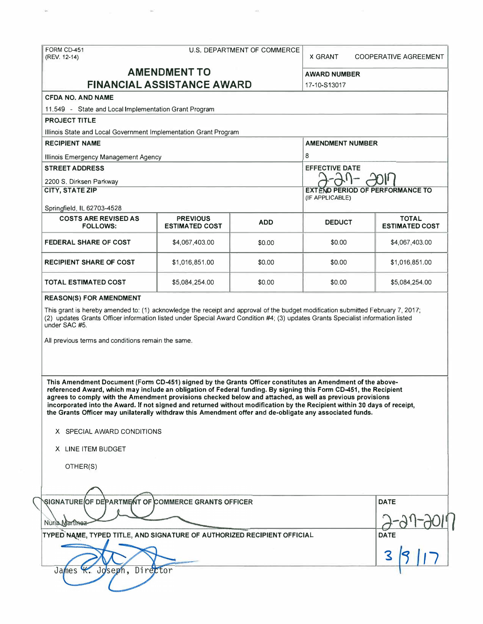|                                                                                                                                                                                                                                                                                                                                                                                                                  | FORM CD-451<br>U.S. DEPARTMENT OF COMMERCE<br>(REV. 12-14) |        |                                     | <b>X GRANT</b><br><b>COOPERATIVE AGREEMENT</b>                                                                                   |  |  |  |  |  |
|------------------------------------------------------------------------------------------------------------------------------------------------------------------------------------------------------------------------------------------------------------------------------------------------------------------------------------------------------------------------------------------------------------------|------------------------------------------------------------|--------|-------------------------------------|----------------------------------------------------------------------------------------------------------------------------------|--|--|--|--|--|
| <b>AMENDMENT TO</b><br><b>FINANCIAL ASSISTANCE AWARD</b>                                                                                                                                                                                                                                                                                                                                                         |                                                            |        | <b>AWARD NUMBER</b><br>17-10-S13017 |                                                                                                                                  |  |  |  |  |  |
| <b>CFDA NO. AND NAME</b>                                                                                                                                                                                                                                                                                                                                                                                         |                                                            |        |                                     |                                                                                                                                  |  |  |  |  |  |
| 11.549 - State and Local Implementation Grant Program                                                                                                                                                                                                                                                                                                                                                            |                                                            |        |                                     |                                                                                                                                  |  |  |  |  |  |
| <b>PROJECT TITLE</b>                                                                                                                                                                                                                                                                                                                                                                                             |                                                            |        |                                     |                                                                                                                                  |  |  |  |  |  |
| Illinois State and Local Government Implementation Grant Program                                                                                                                                                                                                                                                                                                                                                 |                                                            |        |                                     |                                                                                                                                  |  |  |  |  |  |
| <b>RECIPIENT NAME</b>                                                                                                                                                                                                                                                                                                                                                                                            |                                                            |        | <b>AMENDMENT NUMBER</b>             |                                                                                                                                  |  |  |  |  |  |
| Illinois Emergency Management Agency                                                                                                                                                                                                                                                                                                                                                                             |                                                            |        | 8                                   |                                                                                                                                  |  |  |  |  |  |
| <b>STREET ADDRESS</b>                                                                                                                                                                                                                                                                                                                                                                                            |                                                            |        | <b>EFFECTIVE DATE</b>               |                                                                                                                                  |  |  |  |  |  |
| 2200 S. Dirksen Parkway<br><b>CITY, STATE ZIP</b>                                                                                                                                                                                                                                                                                                                                                                |                                                            |        | (IF APPLICABLE)                     | <b>EXTEND PERIOD OF PERFORMANCE TO</b>                                                                                           |  |  |  |  |  |
| Springfield, IL 62703-4528                                                                                                                                                                                                                                                                                                                                                                                       |                                                            |        |                                     |                                                                                                                                  |  |  |  |  |  |
| <b>COSTS ARE REVISED AS</b><br><b>FOLLOWS:</b>                                                                                                                                                                                                                                                                                                                                                                   | <b>PREVIOUS</b><br><b>ESTIMATED COST</b>                   | ADD    | <b>DEDUCT</b>                       | <b>TOTAL</b><br><b>ESTIMATED COST</b>                                                                                            |  |  |  |  |  |
| FEDERAL SHARE OF COST                                                                                                                                                                                                                                                                                                                                                                                            | \$4,067,403.00                                             | \$0.00 | \$0.00                              | \$4,067,403.00<br>\$1,016,851.00                                                                                                 |  |  |  |  |  |
| <b>RECIPIENT SHARE OF COST</b>                                                                                                                                                                                                                                                                                                                                                                                   | \$1,016,851.00                                             | \$0.00 | \$0.00                              |                                                                                                                                  |  |  |  |  |  |
| <b>TOTAL ESTIMATED COST</b>                                                                                                                                                                                                                                                                                                                                                                                      | \$5,084,254.00<br>\$0.00<br>\$0.00                         |        |                                     |                                                                                                                                  |  |  |  |  |  |
|                                                                                                                                                                                                                                                                                                                                                                                                                  |                                                            |        |                                     | (2) updates Grants Officer information listed under Special Award Condition #4; (3) updates Grants Specialist information listed |  |  |  |  |  |
| under SAC #5.<br>All previous terms and conditions remain the same.                                                                                                                                                                                                                                                                                                                                              |                                                            |        |                                     |                                                                                                                                  |  |  |  |  |  |
| agrees to comply with the Amendment provisions checked below and attached, as well as previous provisions<br>incorporated into the Award. If not signed and returned without modification by the Recipient within 30 days of receipt,<br>X SPECIAL AWARD CONDITIONS<br>X LINE ITEM BUDGET<br>OTHER(S)                                                                                                            |                                                            |        |                                     |                                                                                                                                  |  |  |  |  |  |
| This Amendment Document (Form CD-451) signed by the Grants Officer constitutes an Amendment of the above-<br>referenced Award, which may include an obligation of Federal funding. By signing this Form CD-451, the Recipient<br>the Grants Officer may unilaterally withdraw this Amendment offer and de-obligate any associated funds.<br>SIGNATURE OF DEPARTMENT OF COMMERCE GRANTS OFFICER<br>Nuria Martinea |                                                            |        |                                     | <b>DATE</b>                                                                                                                      |  |  |  |  |  |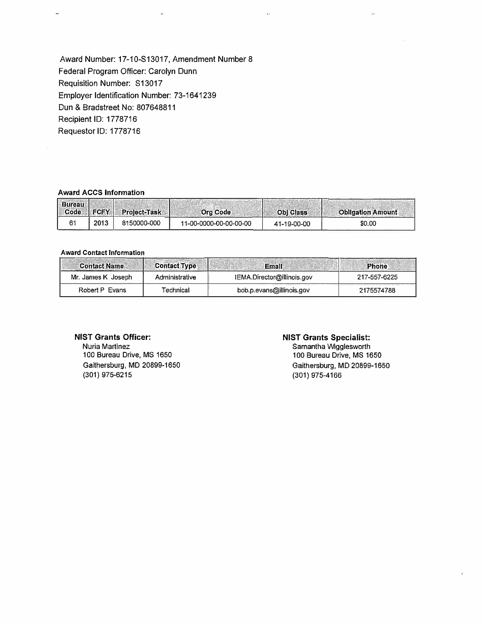Award Number: 17-10-S13017, Amendment Number 8 Federal Program Officer: Carolyn Dunn Requisition Number: 813017 Employer Identification Number: 73-1641239 Dun & Bradstreet No: 807648811 Recipient ID: 1778716 Requestor ID: 1778716

 $\omega_{\rm c}$ 

# **Award ACCS Information**

 $\omega$ 

| <b>Bureau</b> |      | $\vert$ Code $\vert$ FCFY Project-Task | Org Code               | <b>Obi Class</b> | <b>Obligation Amount</b> |
|---------------|------|----------------------------------------|------------------------|------------------|--------------------------|
|               | 2013 | 8150000-000                            | 11-00-0000-00-00-00-00 | 41-19-00-00      | \$0.00                   |

 $\mathcal{L}(\mathcal{L})$ 

# **Award Contact Information**

| <b>Contact Name</b> | <b>Contact Type</b> | Email                      | <b>Phone</b> |
|---------------------|---------------------|----------------------------|--------------|
| Mr. James K Joseph  | Administrative      | IEMA.Director@illinois.gov | 217-557-6225 |
| Robert P Evans      | Technical           | bob.p.evans@illinois.gov   | 2175574788   |

# **NIST Grants Officer:**

Nuria Martinez 100 Bureau Drive, MS 1650 Gaithersburg, MD 20899-1650 (301) 975-6215

# **NIST Grants Specialist:**

Samantha Wigglesworth 100 Bureau Drive, MS 1650 Gaithersburg, MD 20899-1650 (301) 975-4166

 $\frac{1}{2}$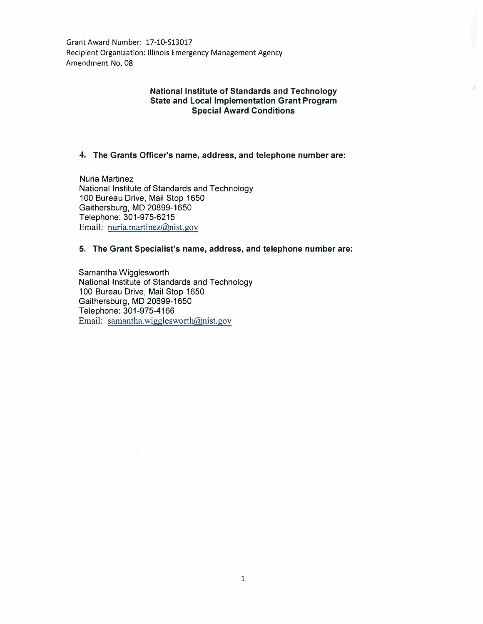Grant Award Number: 17-10-S13017 Recipient Organization: Illinois Emergency Management Agency Amendment No. 08

# **National Institute of Standards and Technology State and Local Implementation Grant Program Special Award Conditions**

*:* 

#### **4. The Grants Officer's name, address, and telephone number are:**

Nuria Martinez National Institute of Standards and Technology 100 Bureau Drive, Mail Stop 1650 Gaithersburg, MD 20899-1650 Telephone: 301-975-6215 Email: nuria.martinez@nist.gov

#### **5. The Grant Specialist's name, address, and telephone number are:**

Samantha Wigglesworth National Institute of Standards and Technology 100 Bureau Drive, Mail Stop 1650 Gaithersburg, MD 20899-1650 Telephone: 301-975-4166 Email: samantha.wigglesworth@nist.gov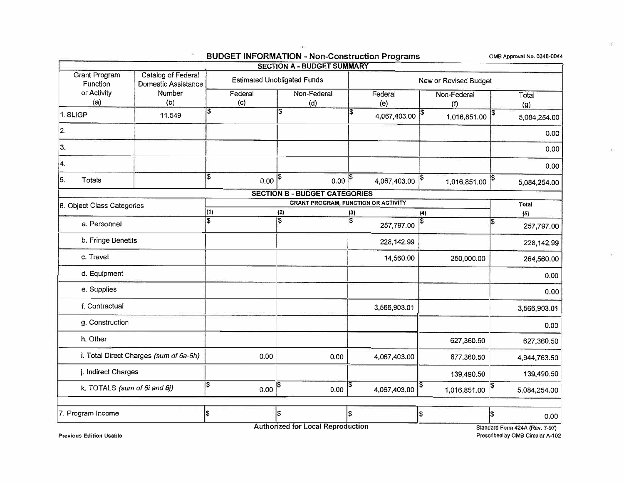| <b>Estimated Unobligated Funds</b>                                                                                                             |                                           | New or Revised Budget                   |                                                                                                                                                                                                                          |                                                                                                                                                                                 |  |  |
|------------------------------------------------------------------------------------------------------------------------------------------------|-------------------------------------------|-----------------------------------------|--------------------------------------------------------------------------------------------------------------------------------------------------------------------------------------------------------------------------|---------------------------------------------------------------------------------------------------------------------------------------------------------------------------------|--|--|
| Federal                                                                                                                                        | Non-Federal                               | Federal                                 | Non-Federal                                                                                                                                                                                                              | Total<br>$\langle g \rangle$                                                                                                                                                    |  |  |
|                                                                                                                                                | l\$                                       | l\$                                     | \$                                                                                                                                                                                                                       | 5,084,254.00                                                                                                                                                                    |  |  |
|                                                                                                                                                |                                           |                                         |                                                                                                                                                                                                                          | 0.00                                                                                                                                                                            |  |  |
|                                                                                                                                                |                                           |                                         |                                                                                                                                                                                                                          | 0.00                                                                                                                                                                            |  |  |
|                                                                                                                                                |                                           |                                         |                                                                                                                                                                                                                          | 0.00                                                                                                                                                                            |  |  |
|                                                                                                                                                | \$                                        |                                         | \$                                                                                                                                                                                                                       | 5,084,254.00                                                                                                                                                                    |  |  |
|                                                                                                                                                |                                           |                                         |                                                                                                                                                                                                                          |                                                                                                                                                                                 |  |  |
|                                                                                                                                                |                                           |                                         | Total                                                                                                                                                                                                                    |                                                                                                                                                                                 |  |  |
|                                                                                                                                                |                                           |                                         |                                                                                                                                                                                                                          | $\{5\}$                                                                                                                                                                         |  |  |
|                                                                                                                                                |                                           |                                         |                                                                                                                                                                                                                          | ls<br>257,797.00                                                                                                                                                                |  |  |
|                                                                                                                                                |                                           |                                         |                                                                                                                                                                                                                          | 228,142.99                                                                                                                                                                      |  |  |
|                                                                                                                                                |                                           |                                         | 250,000.00                                                                                                                                                                                                               | 264,560.00                                                                                                                                                                      |  |  |
|                                                                                                                                                |                                           |                                         |                                                                                                                                                                                                                          | 0.00                                                                                                                                                                            |  |  |
|                                                                                                                                                |                                           |                                         |                                                                                                                                                                                                                          | 0.00                                                                                                                                                                            |  |  |
|                                                                                                                                                |                                           | 3,566,903.01                            |                                                                                                                                                                                                                          | 3,566,903.01                                                                                                                                                                    |  |  |
|                                                                                                                                                |                                           |                                         |                                                                                                                                                                                                                          | 0.00                                                                                                                                                                            |  |  |
|                                                                                                                                                |                                           |                                         | 627,360.50                                                                                                                                                                                                               | 627,360.50                                                                                                                                                                      |  |  |
|                                                                                                                                                |                                           |                                         | 877,360.50                                                                                                                                                                                                               | 4,944,763.50                                                                                                                                                                    |  |  |
|                                                                                                                                                |                                           |                                         | 139,490.50                                                                                                                                                                                                               | 139,490.50                                                                                                                                                                      |  |  |
|                                                                                                                                                | \$                                        | \$                                      | \$<br>1,016,851.00                                                                                                                                                                                                       | 5,084,254.00                                                                                                                                                                    |  |  |
|                                                                                                                                                | I\$                                       | 5                                       | \$                                                                                                                                                                                                                       | \$<br>0.00                                                                                                                                                                      |  |  |
| Catalog of Federal<br>Domestic Assistance<br>Number<br>(b)<br>11.549<br>i. Total Direct Charges (sum of 6a-6h)<br>k. TOTALS (sum of 6i and 6j) | (c)<br>\$<br>1\$<br>(1)<br>\$<br>S.<br>\$ | (d)<br>0.00<br>(2)<br>S<br>0.00<br>0.00 | <b>SECTION A - BUDGET SUMMARY</b><br>(e)<br>$0.00$ <sup>\$</sup><br><b>SECTION B - BUDGET CATEGORIES</b><br><b>GRANT PROGRAM, FUNCTION OR ACTIVITY</b><br>(3)<br>\$<br>0.00<br>0.00<br>Authorizand foul and Donanduation | (f)<br>$1,016,851.00$ $ $ \$<br>4,067,403.00<br>1,016,851.00 \$<br>4,067,403.00<br>$\langle 4 \rangle$<br>257,797.00<br>228,142.99<br>14,560.00<br>4,067,403.00<br>4,067,403.00 |  |  |

#### **BUDGET INFORMATION - Non-Construction Pro.9\_rams 0MB Approval No. 034B-0044**

ż,

¥

 $\epsilon$ 

 $\mathcal{M}_1$ 

W

**Previous Edition Usable** 

Authorized for Local Reproduction

**Standard Form 424A {Rev. 7-97)**  Prescribed by OMB Circular A-102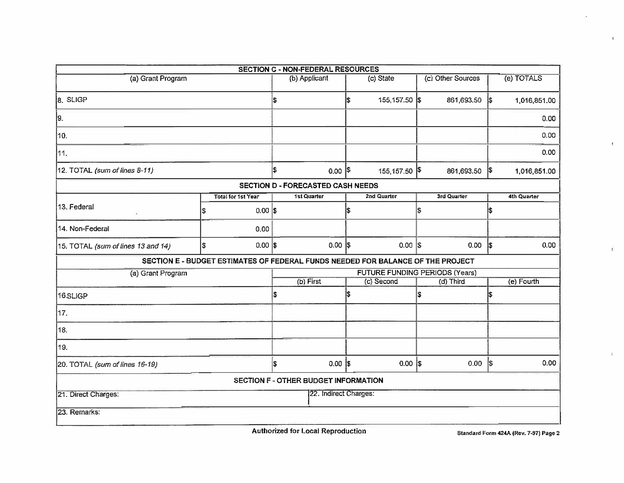|                                                                                 |                           | SECTION C - NON-FEDERAL RESOURCES     |     |                   |                   |                           |              |
|---------------------------------------------------------------------------------|---------------------------|---------------------------------------|-----|-------------------|-------------------|---------------------------|--------------|
| (a) Grant Program                                                               |                           | (b) Applicant                         |     | (c) State         | (c) Other Sources |                           | (e) TOTALS   |
| 8. SLIGP                                                                        |                           | \$                                    | Ι\$ | 155, 157.50 \$    | 861,693.50        | $\frac{1}{2}$             | 1,016,851.00 |
| ļ9.                                                                             |                           |                                       |     |                   |                   |                           | 0.00         |
| 10.                                                                             |                           |                                       |     |                   |                   |                           | 0.00         |
| 11.                                                                             |                           |                                       |     |                   |                   |                           | 0.00         |
| 12. TOTAL (sum of lines 8-11)                                                   |                           | \$<br>$0.00$ $ $                      |     | 155, 157.50 \$    | 861,693.50        | $\vert \mathcal{F} \vert$ | 1,016,851.00 |
|                                                                                 |                           | SECTION D - FORECASTED CASH NEEDS     |     |                   |                   |                           |              |
|                                                                                 | <b>Total for 1st Year</b> | 1st Quarter                           |     | 2nd Quarter       | 3rd Quarter       |                           | 4th Quarter  |
| 13. Federal                                                                     | $0.00$ \$<br>l\$          |                                       | 1\$ |                   | \$                | \$                        |              |
| 14. Non-Federal                                                                 | 0.00                      |                                       |     |                   |                   |                           |              |
| 15. TOTAL (sum of lines 13 and 14)                                              | $0.00$ \$<br>\$           | $0.00$ \$                             |     | $0.00$ $\sqrt{s}$ | 0.00              | $\vert$ \$                | 0.00         |
| SECTION E - BUDGET ESTIMATES OF FEDERAL FUNDS NEEDED FOR BALANCE OF THE PROJECT |                           |                                       |     |                   |                   |                           |              |
| (a) Grant Program                                                               |                           | <b>FUTURE FUNDING PERIODS (Years)</b> |     |                   |                   |                           |              |
|                                                                                 |                           | (b) First                             |     | (c) Second        | (d) Third         |                           | (e) Fourth   |
| 16.SLIGP                                                                        |                           | \$                                    | \$  |                   | \$                | 1\$                       |              |
| 17.                                                                             |                           |                                       |     |                   |                   |                           |              |
| 18.                                                                             |                           |                                       |     |                   |                   |                           |              |
| 19.                                                                             |                           |                                       |     |                   |                   |                           |              |
| 20. TOTAL (sum of lines 16-19)                                                  |                           | $0.00$  \$<br>ls.                     |     | $0.00$  \$        | 0.00              | \$                        | 0.00         |
| SECTION F - OTHER BUDGET INFORMATION                                            |                           |                                       |     |                   |                   |                           |              |
| 21. Direct Charges:                                                             |                           | 22. Indirect Charges:                 |     |                   |                   |                           |              |
| 23. Remarks:                                                                    |                           |                                       |     |                   |                   |                           |              |

Authorized for Local Reproduction **Standard Form 424A (Rev. 7-97) Page 2 Standard Form 424A (Rev. 7-97) Page 2** 

 $\mathfrak{r}$ 

 $\pmb{\zeta}$  :

 $\overline{\mathbf{S}}$ 

 $\mathbf{t}$